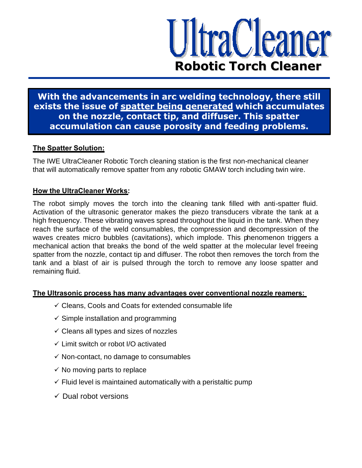

**With the advancements in arc welding technology, there still exists the issue of spatter being generated which accumulates on the nozzle, contact tip, and diffuser. This spatter accumulation can cause porosity and feeding problems.**

# **The Spatter Solution:**

The IWE UltraCleaner Robotic Torch cleaning station is the first non-mechanical cleaner that will automatically remove spatter from any robotic GMAW torch including twin wire.

## **How the UltraCleaner Works:**

The robot simply moves the torch into the cleaning tank filled with anti-spatter fluid. Activation of the ultrasonic generator makes the piezo transducers vibrate the tank at a high frequency. These vibrating waves spread throughout the liquid in the tank. When they reach the surface of the weld consumables, the compression and decompression of the waves creates micro bubbles (cavitations), which implode. This phenomenon triggers a mechanical action that breaks the bond of the weld spatter at the molecular level freeing spatter from the nozzle, contact tip and diffuser. The robot then removes the torch from the tank and a blast of air is pulsed through the torch to remove any loose spatter and remaining fluid.

## **The Ultrasonic process has many advantages over conventional nozzle reamers:**

- $\checkmark$  Cleans, Cools and Coats for extended consumable life
- $\checkmark$  Simple installation and programming
- $\checkmark$  Cleans all types and sizes of nozzles
- $\checkmark$  Limit switch or robot I/O activated
- $\checkmark$  Non-contact, no damage to consumables
- $\checkmark$  No moving parts to replace
- $\checkmark$  Fluid level is maintained automatically with a peristaltic pump
- $\checkmark$  Dual robot versions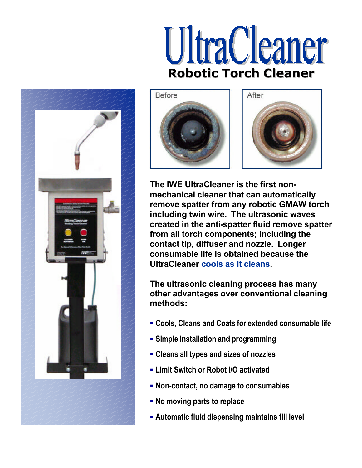





**The IWE UltraCleaner is the first nonmechanical cleaner that can automatically remove spatter from any robotic GMAW torch including twin wire. The ultrasonic waves created in the anti-spatter fluid remove spatter from all torch components; including the contact tip, diffuser and nozzle. Longer consumable life is obtained because the UltraCleaner cools as it cleans.** 

**The ultrasonic cleaning process has many other advantages over conventional cleaning methods:**

- ß **Cools, Cleans and Coats for extended consumable life**
- **Simple installation and programming**
- ß **Cleans all types and sizes of nozzles**
- ß **Limit Switch or Robot I/O activated**
- ß **Non-contact, no damage to consumables**
- ß **No moving parts to replace**
- ß **Automatic fluid dispensing maintains fill level**